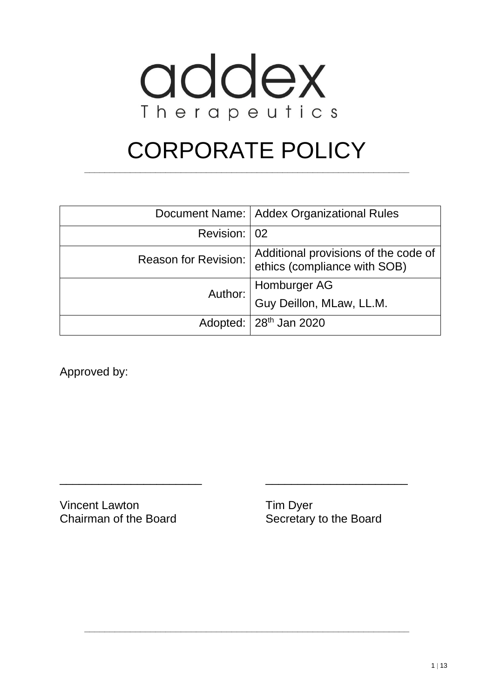

# CORPORATE POLICY

**\_\_\_\_\_\_\_\_\_\_\_\_\_\_\_\_\_\_\_\_\_\_\_\_\_\_\_\_\_\_\_\_\_\_\_\_\_\_\_\_\_\_\_\_\_\_\_\_\_\_\_\_\_\_\_\_\_\_\_\_\_\_\_\_**

|                      | Document Name:   Addex Organizational Rules                          |
|----------------------|----------------------------------------------------------------------|
| Revision: 02         |                                                                      |
| Reason for Revision: | Additional provisions of the code of<br>ethics (compliance with SOB) |
|                      | Author: Homburger AG<br>Guy Deillon, MLaw, LL.M.                     |
|                      |                                                                      |
|                      | Adopted:   28 <sup>th</sup> Jan 2020                                 |

\_\_\_\_\_\_\_\_\_\_\_\_\_\_\_\_\_\_\_\_\_\_ \_\_\_\_\_\_\_\_\_\_\_\_\_\_\_\_\_\_\_\_\_\_

**\_\_\_\_\_\_\_\_\_\_\_\_\_\_\_\_\_\_\_\_\_\_\_\_\_\_\_\_\_\_\_\_\_\_\_\_\_\_\_\_\_\_\_\_\_\_\_\_\_\_\_\_\_\_\_\_\_\_\_\_\_\_\_\_**

Approved by:

Vincent Lawton Tim Dyer Chairman of the Board Secretary to the Board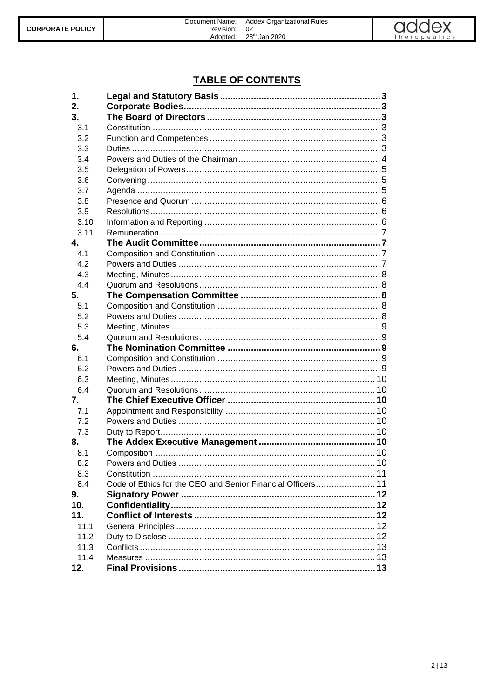

# **TABLE OF CONTENTS**

| 1.             |                                                             |  |
|----------------|-------------------------------------------------------------|--|
| 2.             |                                                             |  |
| 3.             |                                                             |  |
| 3.1            |                                                             |  |
| 3.2            |                                                             |  |
| 3.3            |                                                             |  |
| 3.4            |                                                             |  |
| 3.5            |                                                             |  |
| 3.6            |                                                             |  |
| 3.7            |                                                             |  |
| 3.8            |                                                             |  |
| 3.9            |                                                             |  |
| 3.10           |                                                             |  |
| 3.11           |                                                             |  |
| $\mathbf{4}$ . |                                                             |  |
| 4.1            |                                                             |  |
| 4.2            |                                                             |  |
| 4.3            |                                                             |  |
| 4.4            |                                                             |  |
| 5.             |                                                             |  |
| 5.1            |                                                             |  |
| 5.2            |                                                             |  |
| 5.3            |                                                             |  |
| 5.4            |                                                             |  |
| 6.             |                                                             |  |
| 6.1            |                                                             |  |
| 6.2            |                                                             |  |
| 6.3            |                                                             |  |
| 6.4            |                                                             |  |
| 7.             |                                                             |  |
| 7.1            |                                                             |  |
| 7.2            |                                                             |  |
| 7.3            |                                                             |  |
| 8.             |                                                             |  |
| 8.1            |                                                             |  |
| 8.2            |                                                             |  |
| 8.3            |                                                             |  |
| 8.4            | Code of Ethics for the CEO and Senior Financial Officers 11 |  |
| 9.             |                                                             |  |
| 10.            |                                                             |  |
| 11.            |                                                             |  |
| 11.1           |                                                             |  |
| 11.2           |                                                             |  |
| 11.3           |                                                             |  |
| 11.4           |                                                             |  |
| 12.            |                                                             |  |
|                |                                                             |  |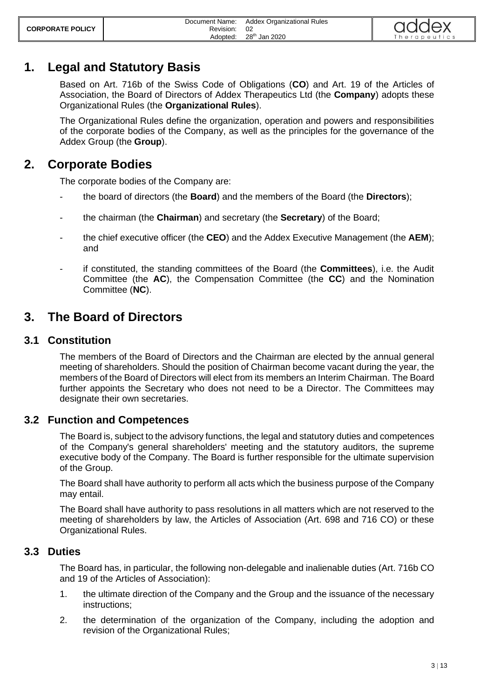# <span id="page-2-0"></span>**1. Legal and Statutory Basis**

Based on Art. 716b of the Swiss Code of Obligations (**CO**) and Art. 19 of the Articles of Association, the Board of Directors of Addex Therapeutics Ltd (the **Company**) adopts these Organizational Rules (the **Organizational Rules**).

The Organizational Rules define the organization, operation and powers and responsibilities of the corporate bodies of the Company, as well as the principles for the governance of the Addex Group (the **Group**).

# <span id="page-2-1"></span>**2. Corporate Bodies**

The corporate bodies of the Company are:

- the board of directors (the **Board**) and the members of the Board (the **Directors**);
- the chairman (the **Chairman**) and secretary (the **Secretary**) of the Board;
- the chief executive officer (the **CEO**) and the Addex Executive Management (the **AEM**); and
- if constituted, the standing committees of the Board (the **Committees**), i.e. the Audit Committee (the **AC**), the Compensation Committee (the **CC**) and the Nomination Committee (**NC**).

# <span id="page-2-2"></span>**3. The Board of Directors**

## <span id="page-2-3"></span>**3.1 Constitution**

The members of the Board of Directors and the Chairman are elected by the annual general meeting of shareholders. Should the position of Chairman become vacant during the year, the members of the Board of Directors will elect from its members an Interim Chairman. The Board further appoints the Secretary who does not need to be a Director. The Committees may designate their own secretaries.

## <span id="page-2-4"></span>**3.2 Function and Competences**

The Board is, subject to the advisory functions, the legal and statutory duties and competences of the Company's general shareholders' meeting and the statutory auditors, the supreme executive body of the Company. The Board is further responsible for the ultimate supervision of the Group.

The Board shall have authority to perform all acts which the business purpose of the Company may entail.

The Board shall have authority to pass resolutions in all matters which are not reserved to the meeting of shareholders by law, the Articles of Association (Art. 698 and 716 CO) or these Organizational Rules.

## <span id="page-2-5"></span>**3.3 Duties**

The Board has, in particular, the following non-delegable and inalienable duties (Art. 716b CO and 19 of the Articles of Association):

- 1. the ultimate direction of the Company and the Group and the issuance of the necessary instructions;
- 2. the determination of the organization of the Company, including the adoption and revision of the Organizational Rules;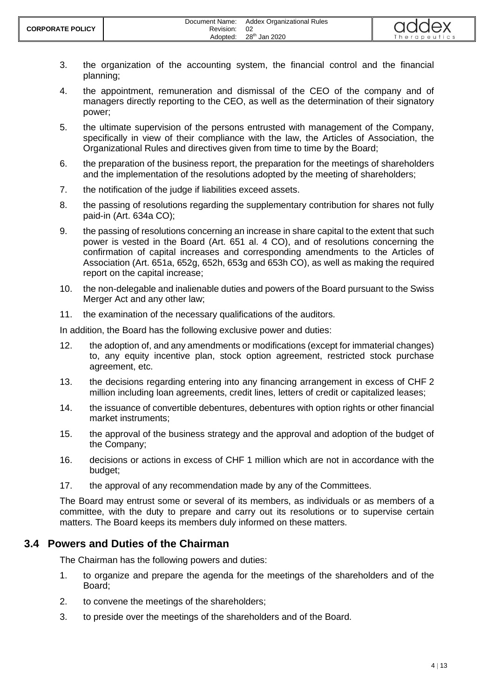- 3. the organization of the accounting system, the financial control and the financial planning;
- 4. the appointment, remuneration and dismissal of the CEO of the company and of managers directly reporting to the CEO, as well as the determination of their signatory power;
- 5. the ultimate supervision of the persons entrusted with management of the Company, specifically in view of their compliance with the law, the Articles of Association, the Organizational Rules and directives given from time to time by the Board;
- 6. the preparation of the business report, the preparation for the meetings of shareholders and the implementation of the resolutions adopted by the meeting of shareholders;
- 7. the notification of the judge if liabilities exceed assets.
- 8. the passing of resolutions regarding the supplementary contribution for shares not fully paid-in (Art. 634a CO);
- 9. the passing of resolutions concerning an increase in share capital to the extent that such power is vested in the Board (Art. 651 al. 4 CO), and of resolutions concerning the confirmation of capital increases and corresponding amendments to the Articles of Association (Art. 651a, 652g, 652h, 653g and 653h CO), as well as making the required report on the capital increase;
- 10. the non-delegable and inalienable duties and powers of the Board pursuant to the Swiss Merger Act and any other law;
- 11. the examination of the necessary qualifications of the auditors.

In addition, the Board has the following exclusive power and duties:

- 12. the adoption of, and any amendments or modifications (except for immaterial changes) to, any equity incentive plan, stock option agreement, restricted stock purchase agreement, etc.
- 13. the decisions regarding entering into any financing arrangement in excess of CHF 2 million including loan agreements, credit lines, letters of credit or capitalized leases;
- 14. the issuance of convertible debentures, debentures with option rights or other financial market instruments;
- 15. the approval of the business strategy and the approval and adoption of the budget of the Company;
- 16. decisions or actions in excess of CHF 1 million which are not in accordance with the budget;
- 17. the approval of any recommendation made by any of the Committees.

The Board may entrust some or several of its members, as individuals or as members of a committee, with the duty to prepare and carry out its resolutions or to supervise certain matters. The Board keeps its members duly informed on these matters.

## <span id="page-3-0"></span>**3.4 Powers and Duties of the Chairman**

The Chairman has the following powers and duties:

- 1. to organize and prepare the agenda for the meetings of the shareholders and of the Board;
- 2. to convene the meetings of the shareholders;
- 3. to preside over the meetings of the shareholders and of the Board.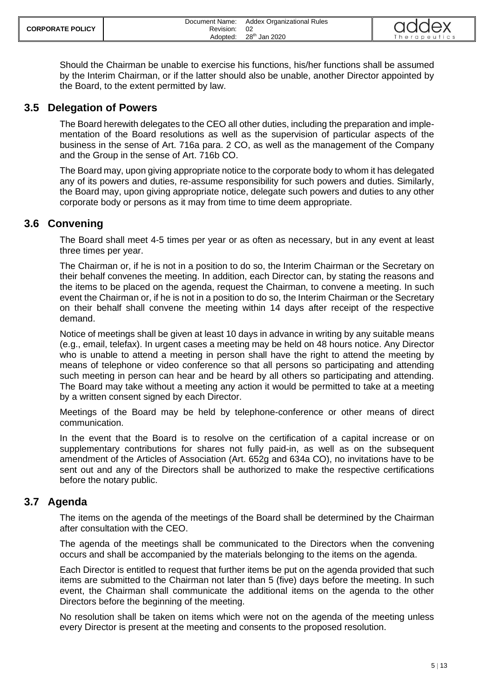Should the Chairman be unable to exercise his functions, his/her functions shall be assumed by the Interim Chairman, or if the latter should also be unable, another Director appointed by the Board, to the extent permitted by law.

## <span id="page-4-0"></span>**3.5 Delegation of Powers**

The Board herewith delegates to the CEO all other duties, including the preparation and implementation of the Board resolutions as well as the supervision of particular aspects of the business in the sense of Art. 716a para. 2 CO, as well as the management of the Company and the Group in the sense of Art. 716b CO.

The Board may, upon giving appropriate notice to the corporate body to whom it has delegated any of its powers and duties, re-assume responsibility for such powers and duties. Similarly, the Board may, upon giving appropriate notice, delegate such powers and duties to any other corporate body or persons as it may from time to time deem appropriate.

## <span id="page-4-1"></span>**3.6 Convening**

The Board shall meet 4-5 times per year or as often as necessary, but in any event at least three times per year.

The Chairman or, if he is not in a position to do so, the Interim Chairman or the Secretary on their behalf convenes the meeting. In addition, each Director can, by stating the reasons and the items to be placed on the agenda, request the Chairman, to convene a meeting. In such event the Chairman or, if he is not in a position to do so, the Interim Chairman or the Secretary on their behalf shall convene the meeting within 14 days after receipt of the respective demand.

Notice of meetings shall be given at least 10 days in advance in writing by any suitable means (e.g., email, telefax). In urgent cases a meeting may be held on 48 hours notice. Any Director who is unable to attend a meeting in person shall have the right to attend the meeting by means of telephone or video conference so that all persons so participating and attending such meeting in person can hear and be heard by all others so participating and attending. The Board may take without a meeting any action it would be permitted to take at a meeting by a written consent signed by each Director.

Meetings of the Board may be held by telephone-conference or other means of direct communication.

In the event that the Board is to resolve on the certification of a capital increase or on supplementary contributions for shares not fully paid-in, as well as on the subsequent amendment of the Articles of Association (Art. 652g and 634a CO), no invitations have to be sent out and any of the Directors shall be authorized to make the respective certifications before the notary public.

## <span id="page-4-2"></span>**3.7 Agenda**

The items on the agenda of the meetings of the Board shall be determined by the Chairman after consultation with the CEO.

The agenda of the meetings shall be communicated to the Directors when the convening occurs and shall be accompanied by the materials belonging to the items on the agenda.

Each Director is entitled to request that further items be put on the agenda provided that such items are submitted to the Chairman not later than 5 (five) days before the meeting. In such event, the Chairman shall communicate the additional items on the agenda to the other Directors before the beginning of the meeting.

No resolution shall be taken on items which were not on the agenda of the meeting unless every Director is present at the meeting and consents to the proposed resolution.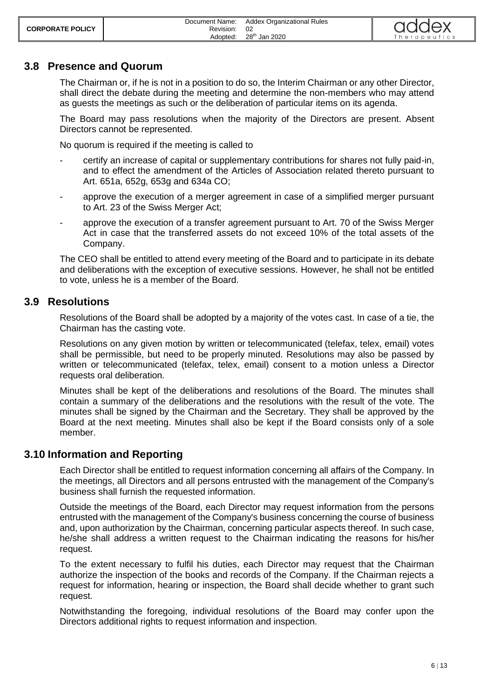## <span id="page-5-0"></span>**3.8 Presence and Quorum**

The Chairman or, if he is not in a position to do so, the Interim Chairman or any other Director, shall direct the debate during the meeting and determine the non-members who may attend as guests the meetings as such or the deliberation of particular items on its agenda.

The Board may pass resolutions when the majority of the Directors are present. Absent Directors cannot be represented.

No quorum is required if the meeting is called to

- certify an increase of capital or supplementary contributions for shares not fully paid-in, and to effect the amendment of the Articles of Association related thereto pursuant to Art. 651a, 652g, 653g and 634a CO;
- approve the execution of a merger agreement in case of a simplified merger pursuant to Art. 23 of the Swiss Merger Act;
- approve the execution of a transfer agreement pursuant to Art. 70 of the Swiss Merger Act in case that the transferred assets do not exceed 10% of the total assets of the Company.

The CEO shall be entitled to attend every meeting of the Board and to participate in its debate and deliberations with the exception of executive sessions. However, he shall not be entitled to vote, unless he is a member of the Board.

## <span id="page-5-1"></span>**3.9 Resolutions**

Resolutions of the Board shall be adopted by a majority of the votes cast. In case of a tie, the Chairman has the casting vote.

Resolutions on any given motion by written or telecommunicated (telefax, telex, email) votes shall be permissible, but need to be properly minuted. Resolutions may also be passed by written or telecommunicated (telefax, telex, email) consent to a motion unless a Director requests oral deliberation.

Minutes shall be kept of the deliberations and resolutions of the Board. The minutes shall contain a summary of the deliberations and the resolutions with the result of the vote. The minutes shall be signed by the Chairman and the Secretary. They shall be approved by the Board at the next meeting. Minutes shall also be kept if the Board consists only of a sole member.

## <span id="page-5-2"></span>**3.10 Information and Reporting**

Each Director shall be entitled to request information concerning all affairs of the Company. In the meetings, all Directors and all persons entrusted with the management of the Company's business shall furnish the requested information.

Outside the meetings of the Board, each Director may request information from the persons entrusted with the management of the Company's business concerning the course of business and, upon authorization by the Chairman, concerning particular aspects thereof. In such case, he/she shall address a written request to the Chairman indicating the reasons for his/her request.

To the extent necessary to fulfil his duties, each Director may request that the Chairman authorize the inspection of the books and records of the Company. If the Chairman rejects a request for information, hearing or inspection, the Board shall decide whether to grant such request.

Notwithstanding the foregoing, individual resolutions of the Board may confer upon the Directors additional rights to request information and inspection.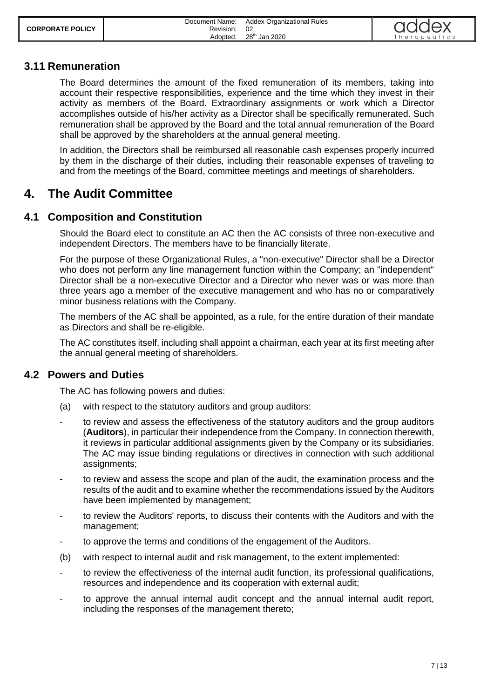| <b>CORPORATE POLICY</b> | Document Name:<br>Revision: | <b>Addex Organizational Rules</b> | addex        |
|-------------------------|-----------------------------|-----------------------------------|--------------|
|                         | Adopted:                    | 28 <sup>th</sup> Jan 2020         | Therapeutics |

#### <span id="page-6-0"></span>**3.11 Remuneration**

The Board determines the amount of the fixed remuneration of its members, taking into account their respective responsibilities, experience and the time which they invest in their activity as members of the Board. Extraordinary assignments or work which a Director accomplishes outside of his/her activity as a Director shall be specifically remunerated. Such remuneration shall be approved by the Board and the total annual remuneration of the Board shall be approved by the shareholders at the annual general meeting.

In addition, the Directors shall be reimbursed all reasonable cash expenses properly incurred by them in the discharge of their duties, including their reasonable expenses of traveling to and from the meetings of the Board, committee meetings and meetings of shareholders.

# <span id="page-6-1"></span>**4. The Audit Committee**

## <span id="page-6-2"></span>**4.1 Composition and Constitution**

Should the Board elect to constitute an AC then the AC consists of three non-executive and independent Directors. The members have to be financially literate.

For the purpose of these Organizational Rules, a "non-executive" Director shall be a Director who does not perform any line management function within the Company; an "independent" Director shall be a non-executive Director and a Director who never was or was more than three years ago a member of the executive management and who has no or comparatively minor business relations with the Company.

The members of the AC shall be appointed, as a rule, for the entire duration of their mandate as Directors and shall be re-eligible.

The AC constitutes itself, including shall appoint a chairman, each year at its first meeting after the annual general meeting of shareholders.

## <span id="page-6-3"></span>**4.2 Powers and Duties**

The AC has following powers and duties:

- (a) with respect to the statutory auditors and group auditors:
- to review and assess the effectiveness of the statutory auditors and the group auditors (**Auditors**), in particular their independence from the Company. In connection therewith, it reviews in particular additional assignments given by the Company or its subsidiaries. The AC may issue binding regulations or directives in connection with such additional assignments;
- to review and assess the scope and plan of the audit, the examination process and the results of the audit and to examine whether the recommendations issued by the Auditors have been implemented by management;
- to review the Auditors' reports, to discuss their contents with the Auditors and with the management;
- to approve the terms and conditions of the engagement of the Auditors.
- (b) with respect to internal audit and risk management, to the extent implemented:
- to review the effectiveness of the internal audit function, its professional qualifications, resources and independence and its cooperation with external audit;
- to approve the annual internal audit concept and the annual internal audit report, including the responses of the management thereto;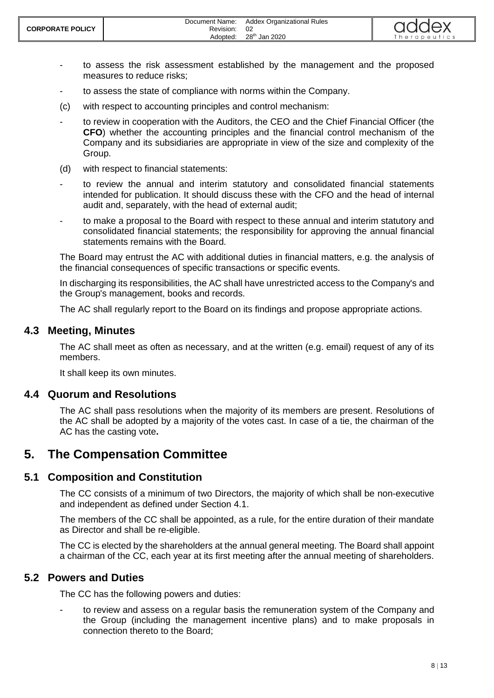- to assess the risk assessment established by the management and the proposed measures to reduce risks;
- to assess the state of compliance with norms within the Company.
- (c) with respect to accounting principles and control mechanism:
- to review in cooperation with the Auditors, the CEO and the Chief Financial Officer (the **CFO**) whether the accounting principles and the financial control mechanism of the Company and its subsidiaries are appropriate in view of the size and complexity of the Group.
- (d) with respect to financial statements:
- to review the annual and interim statutory and consolidated financial statements intended for publication. It should discuss these with the CFO and the head of internal audit and, separately, with the head of external audit;
- to make a proposal to the Board with respect to these annual and interim statutory and consolidated financial statements; the responsibility for approving the annual financial statements remains with the Board.

The Board may entrust the AC with additional duties in financial matters, e.g. the analysis of the financial consequences of specific transactions or specific events.

In discharging its responsibilities, the AC shall have unrestricted access to the Company's and the Group's management, books and records.

<span id="page-7-0"></span>The AC shall regularly report to the Board on its findings and propose appropriate actions.

## **4.3 Meeting, Minutes**

The AC shall meet as often as necessary, and at the written (e.g. email) request of any of its members.

<span id="page-7-1"></span>It shall keep its own minutes.

## **4.4 Quorum and Resolutions**

The AC shall pass resolutions when the majority of its members are present. Resolutions of the AC shall be adopted by a majority of the votes cast. In case of a tie, the chairman of the AC has the casting vote**.**

# <span id="page-7-2"></span>**5. The Compensation Committee**

## <span id="page-7-3"></span>**5.1 Composition and Constitution**

The CC consists of a minimum of two Directors, the majority of which shall be non-executive and independent as defined under Section 4.1.

The members of the CC shall be appointed, as a rule, for the entire duration of their mandate as Director and shall be re-eligible.

The CC is elected by the shareholders at the annual general meeting. The Board shall appoint a chairman of the CC, each year at its first meeting after the annual meeting of shareholders.

## <span id="page-7-4"></span>**5.2 Powers and Duties**

The CC has the following powers and duties:

to review and assess on a regular basis the remuneration system of the Company and the Group (including the management incentive plans) and to make proposals in connection thereto to the Board;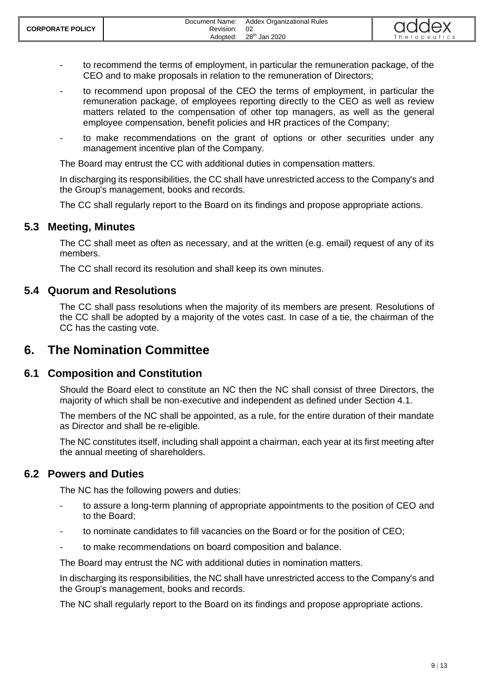- to recommend the terms of employment, in particular the remuneration package, of the CEO and to make proposals in relation to the remuneration of Directors;
- to recommend upon proposal of the CEO the terms of employment, in particular the remuneration package, of employees reporting directly to the CEO as well as review matters related to the compensation of other top managers, as well as the general employee compensation, benefit policies and HR practices of the Company;
- to make recommendations on the grant of options or other securities under any management incentive plan of the Company.

The Board may entrust the CC with additional duties in compensation matters.

In discharging its responsibilities, the CC shall have unrestricted access to the Company's and the Group's management, books and records.

<span id="page-8-0"></span>The CC shall regularly report to the Board on its findings and propose appropriate actions.

## **5.3 Meeting, Minutes**

The CC shall meet as often as necessary, and at the written (e.g. email) request of any of its members.

<span id="page-8-1"></span>The CC shall record its resolution and shall keep its own minutes.

#### **5.4 Quorum and Resolutions**

The CC shall pass resolutions when the majority of its members are present. Resolutions of the CC shall be adopted by a majority of the votes cast. In case of a tie, the chairman of the CC has the casting vote.

# <span id="page-8-2"></span>**6. The Nomination Committee**

## <span id="page-8-3"></span>**6.1 Composition and Constitution**

Should the Board elect to constitute an NC then the NC shall consist of three Directors, the majority of which shall be non-executive and independent as defined under Section 4.1.

The members of the NC shall be appointed, as a rule, for the entire duration of their mandate as Director and shall be re-eligible.

The NC constitutes itself, including shall appoint a chairman, each year at its first meeting after the annual meeting of shareholders.

#### <span id="page-8-4"></span>**6.2 Powers and Duties**

The NC has the following powers and duties:

- to assure a long-term planning of appropriate appointments to the position of CEO and to the Board;
- to nominate candidates to fill vacancies on the Board or for the position of CEO;
- to make recommendations on board composition and balance.

The Board may entrust the NC with additional duties in nomination matters.

In discharging its responsibilities, the NC shall have unrestricted access to the Company's and the Group's management, books and records.

The NC shall regularly report to the Board on its findings and propose appropriate actions.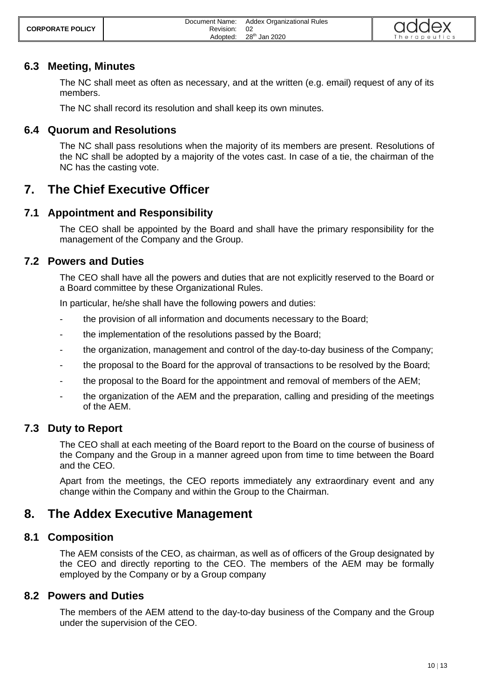| <b>CORPORATE POLICY</b> | Document Name:<br>Revision:<br>Adopted: | <b>Addex Organizational Rules</b><br>02<br>28 <sup>th</sup> Jan 2020 | addex<br>Therapeutics |
|-------------------------|-----------------------------------------|----------------------------------------------------------------------|-----------------------|
|-------------------------|-----------------------------------------|----------------------------------------------------------------------|-----------------------|

## **6.3 Meeting, Minutes**

<span id="page-9-0"></span>The NC shall meet as often as necessary, and at the written (e.g. email) request of any of its members.

<span id="page-9-1"></span>The NC shall record its resolution and shall keep its own minutes.

#### **6.4 Quorum and Resolutions**

The NC shall pass resolutions when the majority of its members are present. Resolutions of the NC shall be adopted by a majority of the votes cast. In case of a tie, the chairman of the NC has the casting vote.

# <span id="page-9-2"></span>**7. The Chief Executive Officer**

## <span id="page-9-3"></span>**7.1 Appointment and Responsibility**

The CEO shall be appointed by the Board and shall have the primary responsibility for the management of the Company and the Group.

#### <span id="page-9-4"></span>**7.2 Powers and Duties**

The CEO shall have all the powers and duties that are not explicitly reserved to the Board or a Board committee by these Organizational Rules.

In particular, he/she shall have the following powers and duties:

- the provision of all information and documents necessary to the Board;
- the implementation of the resolutions passed by the Board;
- the organization, management and control of the day-to-day business of the Company;
- the proposal to the Board for the approval of transactions to be resolved by the Board;
- the proposal to the Board for the appointment and removal of members of the AEM;
- the organization of the AEM and the preparation, calling and presiding of the meetings of the AEM.

## <span id="page-9-5"></span>**7.3 Duty to Report**

The CEO shall at each meeting of the Board report to the Board on the course of business of the Company and the Group in a manner agreed upon from time to time between the Board and the CEO.

Apart from the meetings, the CEO reports immediately any extraordinary event and any change within the Company and within the Group to the Chairman.

# <span id="page-9-6"></span>**8. The Addex Executive Management**

#### <span id="page-9-7"></span>**8.1 Composition**

The AEM consists of the CEO, as chairman, as well as of officers of the Group designated by the CEO and directly reporting to the CEO. The members of the AEM may be formally employed by the Company or by a Group company

#### <span id="page-9-8"></span>**8.2 Powers and Duties**

The members of the AEM attend to the day-to-day business of the Company and the Group under the supervision of the CEO.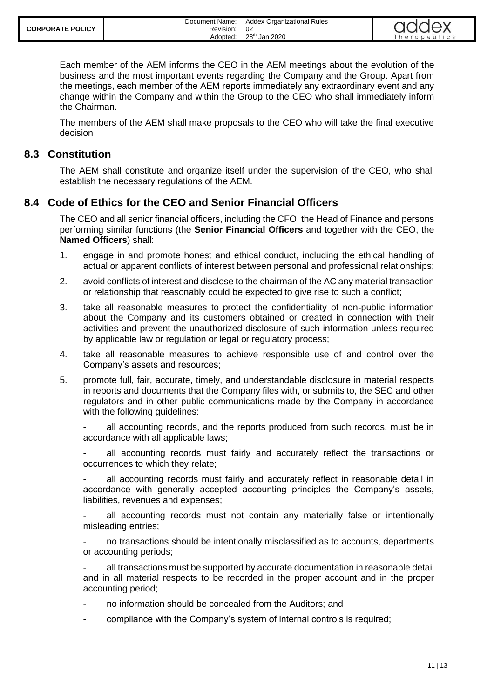| <b>CORPORATE POLICY</b> | Document Name:<br>Revision: | <b>Addex Organizational Rules</b> | addex       |
|-------------------------|-----------------------------|-----------------------------------|-------------|
|                         | Adopted:                    | 28 <sup>th</sup> Jan 2020         | herapeutics |

Each member of the AEM informs the CEO in the AEM meetings about the evolution of the business and the most important events regarding the Company and the Group. Apart from the meetings, each member of the AEM reports immediately any extraordinary event and any change within the Company and within the Group to the CEO who shall immediately inform the Chairman.

The members of the AEM shall make proposals to the CEO who will take the final executive decision

## <span id="page-10-0"></span>**8.3 Constitution**

The AEM shall constitute and organize itself under the supervision of the CEO, who shall establish the necessary regulations of the AEM.

## <span id="page-10-1"></span>**8.4 Code of Ethics for the CEO and Senior Financial Officers**

The CEO and all senior financial officers, including the CFO, the Head of Finance and persons performing similar functions (the **Senior Financial Officers** and together with the CEO, the **Named Officers**) shall:

- 1. engage in and promote honest and ethical conduct, including the ethical handling of actual or apparent conflicts of interest between personal and professional relationships;
- 2. avoid conflicts of interest and disclose to the chairman of the AC any material transaction or relationship that reasonably could be expected to give rise to such a conflict;
- 3. take all reasonable measures to protect the confidentiality of non-public information about the Company and its customers obtained or created in connection with their activities and prevent the unauthorized disclosure of such information unless required by applicable law or regulation or legal or regulatory process;
- 4. take all reasonable measures to achieve responsible use of and control over the Company's assets and resources;
- 5. promote full, fair, accurate, timely, and understandable disclosure in material respects in reports and documents that the Company files with, or submits to, the SEC and other regulators and in other public communications made by the Company in accordance with the following guidelines:

all accounting records, and the reports produced from such records, must be in accordance with all applicable laws;

all accounting records must fairly and accurately reflect the transactions or occurrences to which they relate;

all accounting records must fairly and accurately reflect in reasonable detail in accordance with generally accepted accounting principles the Company's assets, liabilities, revenues and expenses;

all accounting records must not contain any materially false or intentionally misleading entries;

- no transactions should be intentionally misclassified as to accounts, departments or accounting periods;

all transactions must be supported by accurate documentation in reasonable detail and in all material respects to be recorded in the proper account and in the proper accounting period;

- no information should be concealed from the Auditors; and
- compliance with the Company's system of internal controls is required;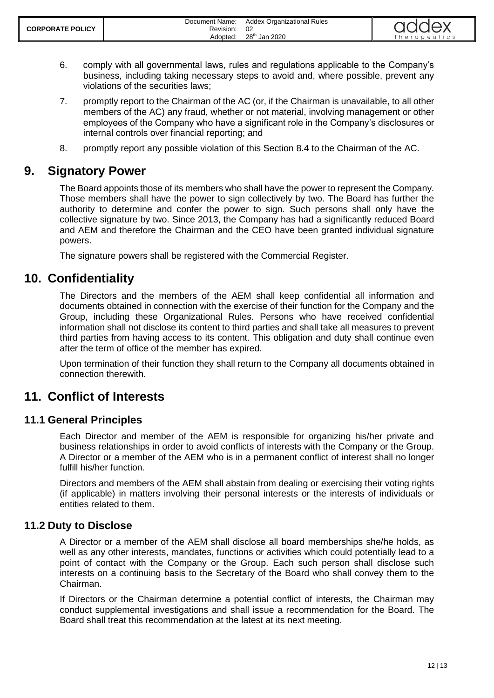- 6. comply with all governmental laws, rules and regulations applicable to the Company's business, including taking necessary steps to avoid and, where possible, prevent any violations of the securities laws;
- 7. promptly report to the Chairman of the AC (or, if the Chairman is unavailable, to all other members of the AC) any fraud, whether or not material, involving management or other employees of the Company who have a significant role in the Company's disclosures or internal controls over financial reporting; and
- <span id="page-11-0"></span>8. promptly report any possible violation of this Section [8.4](#page-10-1) to the Chairman of the AC.

# **9. Signatory Power**

The Board appoints those of its members who shall have the power to represent the Company. Those members shall have the power to sign collectively by two. The Board has further the authority to determine and confer the power to sign. Such persons shall only have the collective signature by two. Since 2013, the Company has had a significantly reduced Board and AEM and therefore the Chairman and the CEO have been granted individual signature powers.

<span id="page-11-1"></span>The signature powers shall be registered with the Commercial Register.

# **10. Confidentiality**

The Directors and the members of the AEM shall keep confidential all information and documents obtained in connection with the exercise of their function for the Company and the Group, including these Organizational Rules. Persons who have received confidential information shall not disclose its content to third parties and shall take all measures to prevent third parties from having access to its content. This obligation and duty shall continue even after the term of office of the member has expired.

Upon termination of their function they shall return to the Company all documents obtained in connection therewith.

# <span id="page-11-2"></span>**11. Conflict of Interests**

## <span id="page-11-3"></span>**11.1 General Principles**

Each Director and member of the AEM is responsible for organizing his/her private and business relationships in order to avoid conflicts of interests with the Company or the Group. A Director or a member of the AEM who is in a permanent conflict of interest shall no longer fulfill his/her function.

Directors and members of the AEM shall abstain from dealing or exercising their voting rights (if applicable) in matters involving their personal interests or the interests of individuals or entities related to them.

## <span id="page-11-4"></span>**11.2 Duty to Disclose**

A Director or a member of the AEM shall disclose all board memberships she/he holds, as well as any other interests, mandates, functions or activities which could potentially lead to a point of contact with the Company or the Group. Each such person shall disclose such interests on a continuing basis to the Secretary of the Board who shall convey them to the Chairman.

If Directors or the Chairman determine a potential conflict of interests, the Chairman may conduct supplemental investigations and shall issue a recommendation for the Board. The Board shall treat this recommendation at the latest at its next meeting.